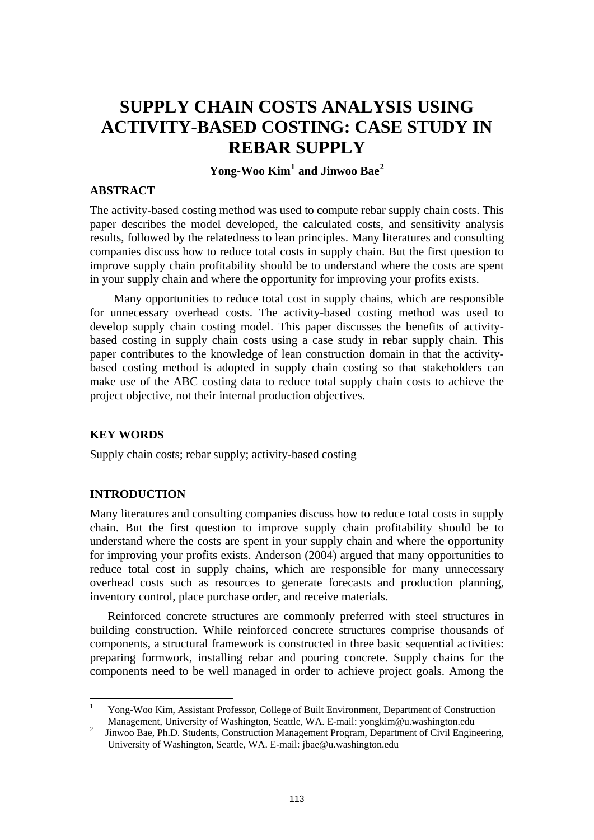# **SUPPLY CHAIN COSTS ANALYSIS USING ACTIVITY-BASED COSTING: CASE STUDY IN REBAR SUPPLY**

# **Yong-Woo Kim[1](#page-0-0) and Jinwoo Bae[2](#page-0-1)**

#### **ABSTRACT**

The activity-based costing method was used to compute rebar supply chain costs. This paper describes the model developed, the calculated costs, and sensitivity analysis results, followed by the relatedness to lean principles. Many literatures and consulting companies discuss how to reduce total costs in supply chain. But the first question to improve supply chain profitability should be to understand where the costs are spent in your supply chain and where the opportunity for improving your profits exists.

Many opportunities to reduce total cost in supply chains, which are responsible for unnecessary overhead costs. The activity-based costing method was used to develop supply chain costing model. This paper discusses the benefits of activitybased costing in supply chain costs using a case study in rebar supply chain. This paper contributes to the knowledge of lean construction domain in that the activitybased costing method is adopted in supply chain costing so that stakeholders can make use of the ABC costing data to reduce total supply chain costs to achieve the project objective, not their internal production objectives.

#### **KEY WORDS**

Supply chain costs; rebar supply; activity-based costing

#### **INTRODUCTION**

 $\overline{a}$ 

Many literatures and consulting companies discuss how to reduce total costs in supply chain. But the first question to improve supply chain profitability should be to understand where the costs are spent in your supply chain and where the opportunity for improving your profits exists. Anderson (2004) argued that many opportunities to reduce total cost in supply chains, which are responsible for many unnecessary overhead costs such as resources to generate forecasts and production planning, inventory control, place purchase order, and receive materials.

Reinforced concrete structures are commonly preferred with steel structures in building construction. While reinforced concrete structures comprise thousands of components, a structural framework is constructed in three basic sequential activities: preparing formwork, installing rebar and pouring concrete. Supply chains for the components need to be well managed in order to achieve project goals. Among the

<span id="page-0-0"></span><sup>1</sup> Yong-Woo Kim, Assistant Professor, College of Built Environment, Department of Construction Management, University of Washington, Seattle, WA. E-mail: yongkim@u.washington.edu<br><sup>2</sup> Jinwoo Bae, Ph.D. Students, Construction Management Program, Department of Civil Engineering,

<span id="page-0-1"></span>University of Washington, Seattle, WA. E-mail: jbae@u.washington.edu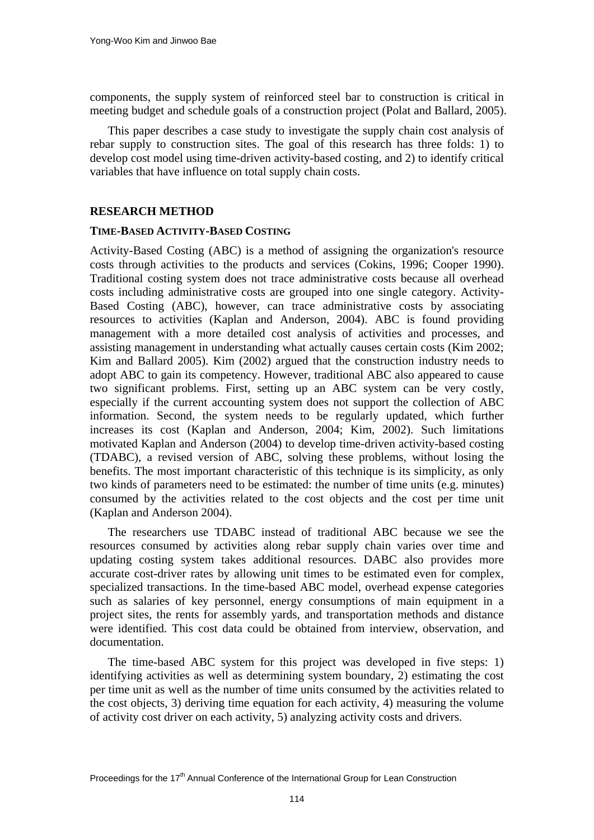components, the supply system of reinforced steel bar to construction is critical in meeting budget and schedule goals of a construction project (Polat and Ballard, 2005).

This paper describes a case study to investigate the supply chain cost analysis of rebar supply to construction sites. The goal of this research has three folds: 1) to develop cost model using time-driven activity-based costing, and 2) to identify critical variables that have influence on total supply chain costs.

## **RESEARCH METHOD**

#### **TIME-BASED ACTIVITY-BASED COSTING**

Activity-Based Costing (ABC) is a method of assigning the organization's resource costs through activities to the products and services (Cokins, 1996; Cooper 1990). Traditional costing system does not trace administrative costs because all overhead costs including administrative costs are grouped into one single category. Activity-Based Costing (ABC), however, can trace administrative costs by associating resources to activities (Kaplan and Anderson, 2004). ABC is found providing management with a more detailed cost analysis of activities and processes, and assisting management in understanding what actually causes certain costs (Kim 2002; Kim and Ballard 2005). Kim (2002) argued that the construction industry needs to adopt ABC to gain its competency. However, traditional ABC also appeared to cause two significant problems. First, setting up an ABC system can be very costly, especially if the current accounting system does not support the collection of ABC information. Second, the system needs to be regularly updated, which further increases its cost (Kaplan and Anderson, 2004; Kim, 2002). Such limitations motivated Kaplan and Anderson (2004) to develop time-driven activity-based costing (TDABC), a revised version of ABC, solving these problems, without losing the benefits. The most important characteristic of this technique is its simplicity, as only two kinds of parameters need to be estimated: the number of time units (e.g. minutes) consumed by the activities related to the cost objects and the cost per time unit (Kaplan and Anderson 2004).

The researchers use TDABC instead of traditional ABC because we see the resources consumed by activities along rebar supply chain varies over time and updating costing system takes additional resources. DABC also provides more accurate cost-driver rates by allowing unit times to be estimated even for complex, specialized transactions. In the time-based ABC model, overhead expense categories such as salaries of key personnel, energy consumptions of main equipment in a project sites, the rents for assembly yards, and transportation methods and distance were identified. This cost data could be obtained from interview, observation, and documentation.

The time-based ABC system for this project was developed in five steps: 1) identifying activities as well as determining system boundary, 2) estimating the cost per time unit as well as the number of time units consumed by the activities related to the cost objects, 3) deriving time equation for each activity, 4) measuring the volume of activity cost driver on each activity, 5) analyzing activity costs and drivers.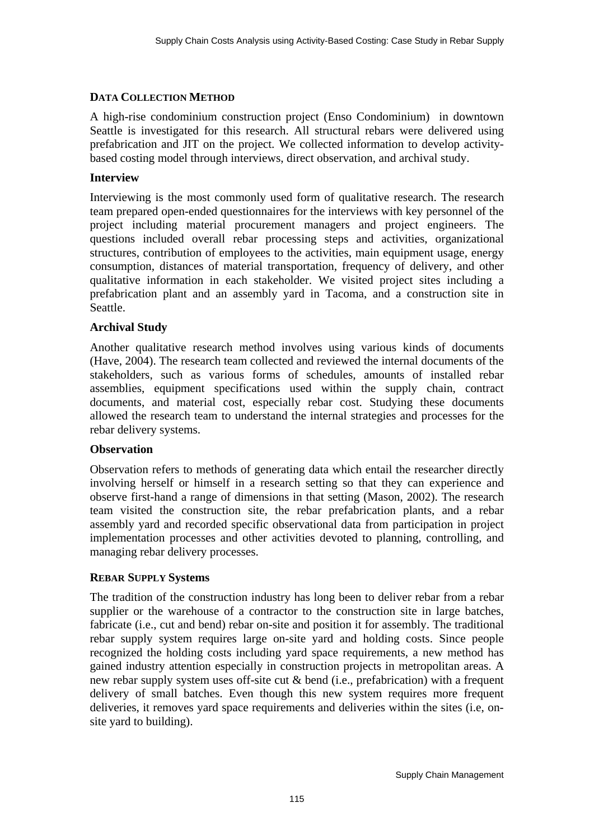## **DATA COLLECTION METHOD**

A high-rise condominium construction project (Enso Condominium) in downtown Seattle is investigated for this research. All structural rebars were delivered using prefabrication and JIT on the project. We collected information to develop activitybased costing model through interviews, direct observation, and archival study.

## **Interview**

Interviewing is the most commonly used form of qualitative research. The research team prepared open-ended questionnaires for the interviews with key personnel of the project including material procurement managers and project engineers. The questions included overall rebar processing steps and activities, organizational structures, contribution of employees to the activities, main equipment usage, energy consumption, distances of material transportation, frequency of delivery, and other qualitative information in each stakeholder. We visited project sites including a prefabrication plant and an assembly yard in Tacoma, and a construction site in Seattle.

# **Archival Study**

Another qualitative research method involves using various kinds of documents (Have, 2004). The research team collected and reviewed the internal documents of the stakeholders, such as various forms of schedules, amounts of installed rebar assemblies, equipment specifications used within the supply chain, contract documents, and material cost, especially rebar cost. Studying these documents allowed the research team to understand the internal strategies and processes for the rebar delivery systems.

## **Observation**

Observation refers to methods of generating data which entail the researcher directly involving herself or himself in a research setting so that they can experience and observe first-hand a range of dimensions in that setting (Mason, 2002). The research team visited the construction site, the rebar prefabrication plants, and a rebar assembly yard and recorded specific observational data from participation in project implementation processes and other activities devoted to planning, controlling, and managing rebar delivery processes.

## **REBAR SUPPLY Systems**

The tradition of the construction industry has long been to deliver rebar from a rebar supplier or the warehouse of a contractor to the construction site in large batches, fabricate (i.e., cut and bend) rebar on-site and position it for assembly. The traditional rebar supply system requires large on-site yard and holding costs. Since people recognized the holding costs including yard space requirements, a new method has gained industry attention especially in construction projects in metropolitan areas. A new rebar supply system uses off-site cut & bend (i.e., prefabrication) with a frequent delivery of small batches. Even though this new system requires more frequent deliveries, it removes yard space requirements and deliveries within the sites (i.e, onsite yard to building).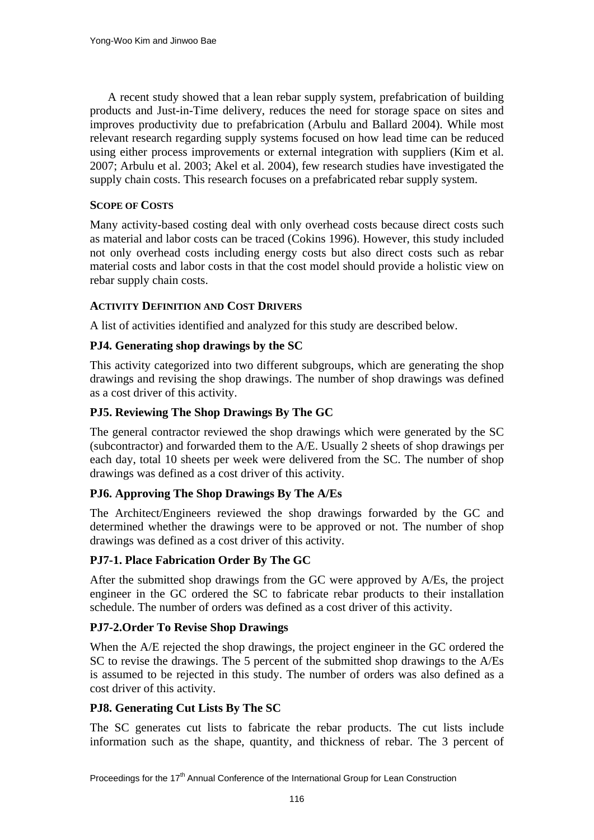A recent study showed that a lean rebar supply system, prefabrication of building products and Just-in-Time delivery, reduces the need for storage space on sites and improves productivity due to prefabrication (Arbulu and Ballard 2004). While most relevant research regarding supply systems focused on how lead time can be reduced using either process improvements or external integration with suppliers (Kim et al. 2007; Arbulu et al. 2003; Akel et al. 2004), few research studies have investigated the supply chain costs. This research focuses on a prefabricated rebar supply system.

## **SCOPE OF COSTS**

Many activity-based costing deal with only overhead costs because direct costs such as material and labor costs can be traced (Cokins 1996). However, this study included not only overhead costs including energy costs but also direct costs such as rebar material costs and labor costs in that the cost model should provide a holistic view on rebar supply chain costs.

## **ACTIVITY DEFINITION AND COST DRIVERS**

A list of activities identified and analyzed for this study are described below.

## **PJ4. Generating shop drawings by the SC**

This activity categorized into two different subgroups, which are generating the shop drawings and revising the shop drawings. The number of shop drawings was defined as a cost driver of this activity.

## **PJ5. Reviewing The Shop Drawings By The GC**

The general contractor reviewed the shop drawings which were generated by the SC (subcontractor) and forwarded them to the A/E. Usually 2 sheets of shop drawings per each day, total 10 sheets per week were delivered from the SC. The number of shop drawings was defined as a cost driver of this activity.

# **PJ6. Approving The Shop Drawings By The A/Es**

The Architect/Engineers reviewed the shop drawings forwarded by the GC and determined whether the drawings were to be approved or not. The number of shop drawings was defined as a cost driver of this activity.

## **PJ7-1. Place Fabrication Order By The GC**

After the submitted shop drawings from the GC were approved by A/Es, the project engineer in the GC ordered the SC to fabricate rebar products to their installation schedule. The number of orders was defined as a cost driver of this activity.

## **PJ7-2.Order To Revise Shop Drawings**

When the A/E rejected the shop drawings, the project engineer in the GC ordered the SC to revise the drawings. The 5 percent of the submitted shop drawings to the A/Es is assumed to be rejected in this study. The number of orders was also defined as a cost driver of this activity.

## **PJ8. Generating Cut Lists By The SC**

The SC generates cut lists to fabricate the rebar products. The cut lists include information such as the shape, quantity, and thickness of rebar. The 3 percent of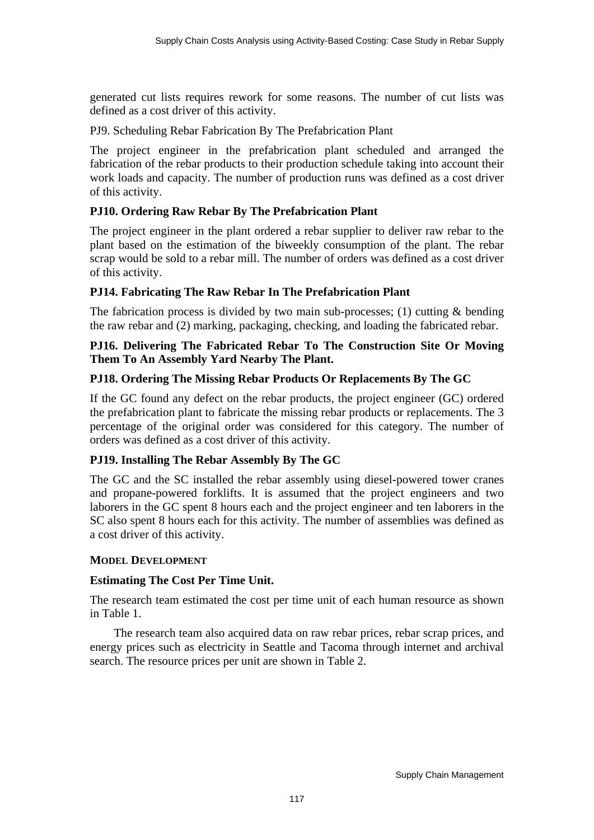generated cut lists requires rework for some reasons. The number of cut lists was defined as a cost driver of this activity.

PJ9. Scheduling Rebar Fabrication By The Prefabrication Plant

The project engineer in the prefabrication plant scheduled and arranged the fabrication of the rebar products to their production schedule taking into account their work loads and capacity. The number of production runs was defined as a cost driver of this activity.

# **PJ10. Ordering Raw Rebar By The Prefabrication Plant**

The project engineer in the plant ordered a rebar supplier to deliver raw rebar to the plant based on the estimation of the biweekly consumption of the plant. The rebar scrap would be sold to a rebar mill. The number of orders was defined as a cost driver of this activity.

# **PJ14. Fabricating The Raw Rebar In The Prefabrication Plant**

The fabrication process is divided by two main sub-processes; (1) cutting  $\&$  bending the raw rebar and (2) marking, packaging, checking, and loading the fabricated rebar.

## **PJ16. Delivering The Fabricated Rebar To The Construction Site Or Moving Them To An Assembly Yard Nearby The Plant.**

## **PJ18. Ordering The Missing Rebar Products Or Replacements By The GC**

If the GC found any defect on the rebar products, the project engineer (GC) ordered the prefabrication plant to fabricate the missing rebar products or replacements. The 3 percentage of the original order was considered for this category. The number of orders was defined as a cost driver of this activity.

## **PJ19. Installing The Rebar Assembly By The GC**

The GC and the SC installed the rebar assembly using diesel-powered tower cranes and propane-powered forklifts. It is assumed that the project engineers and two laborers in the GC spent 8 hours each and the project engineer and ten laborers in the SC also spent 8 hours each for this activity. The number of assemblies was defined as a cost driver of this activity.

## **MODEL DEVELOPMENT**

## **Estimating The Cost Per Time Unit.**

The research team estimated the cost per time unit of each human resource as shown in Table 1.

The research team also acquired data on raw rebar prices, rebar scrap prices, and energy prices such as electricity in Seattle and Tacoma through internet and archival search. The resource prices per unit are shown in Table 2.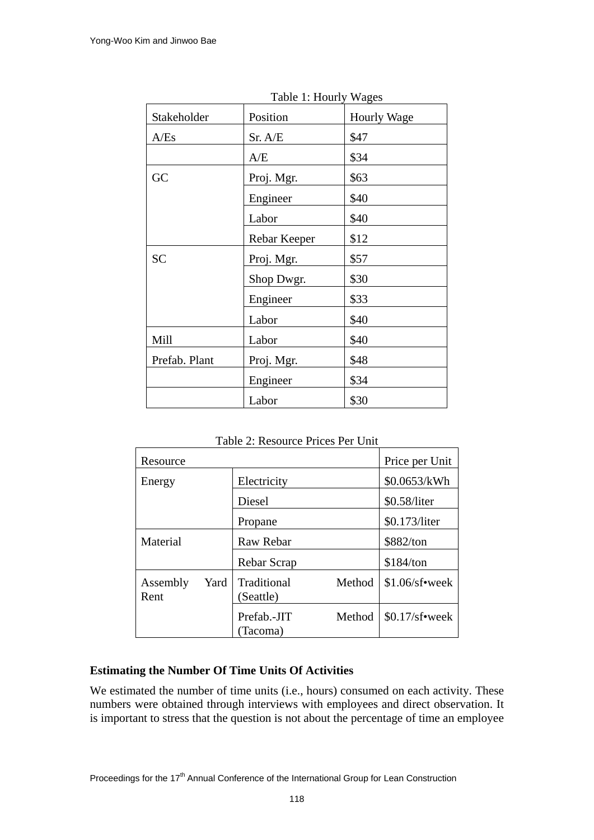| Table 1: Hourly wages |              |             |  |  |  |
|-----------------------|--------------|-------------|--|--|--|
| Stakeholder           | Position     | Hourly Wage |  |  |  |
| A/Es                  | Sr. A/E      | \$47        |  |  |  |
|                       | A/E          | \$34        |  |  |  |
| GC                    | Proj. Mgr.   | \$63        |  |  |  |
|                       | Engineer     | \$40        |  |  |  |
|                       | Labor        | \$40        |  |  |  |
|                       | Rebar Keeper | \$12        |  |  |  |
| <b>SC</b>             | Proj. Mgr.   | \$57        |  |  |  |
|                       | Shop Dwgr.   | \$30        |  |  |  |
|                       | Engineer     | \$33        |  |  |  |
|                       | Labor        | \$40        |  |  |  |
| Mill                  | Labor        | \$40        |  |  |  |
| Prefab. Plant         | Proj. Mgr.   | \$48        |  |  |  |
|                       | Engineer     | \$34        |  |  |  |
|                       | Labor        | \$30        |  |  |  |

Table 1: Hourly Wages

Table 2: Resource Prices Per Unit

| Resource         |      |                          |        | Price per Unit   |  |
|------------------|------|--------------------------|--------|------------------|--|
| Energy           |      | Electricity              |        | \$0.0653/kWh     |  |
|                  |      | Diesel                   |        | \$0.58/liter     |  |
|                  |      | Propane                  |        | \$0.173/liter    |  |
| Material         |      | Raw Rebar                |        | \$882/ton        |  |
|                  |      | Rebar Scrap              |        | \$184/ton        |  |
| Assembly<br>Rent | Yard | Traditional<br>(Seattle) | Method | $$1.06/s$ f•week |  |
|                  |      | Prefab.-JIT<br>Tacoma)   | Method | $$0.17$ /sf•week |  |

# **Estimating the Number Of Time Units Of Activities**

We estimated the number of time units (i.e., hours) consumed on each activity. These numbers were obtained through interviews with employees and direct observation. It is important to stress that the question is not about the percentage of time an employee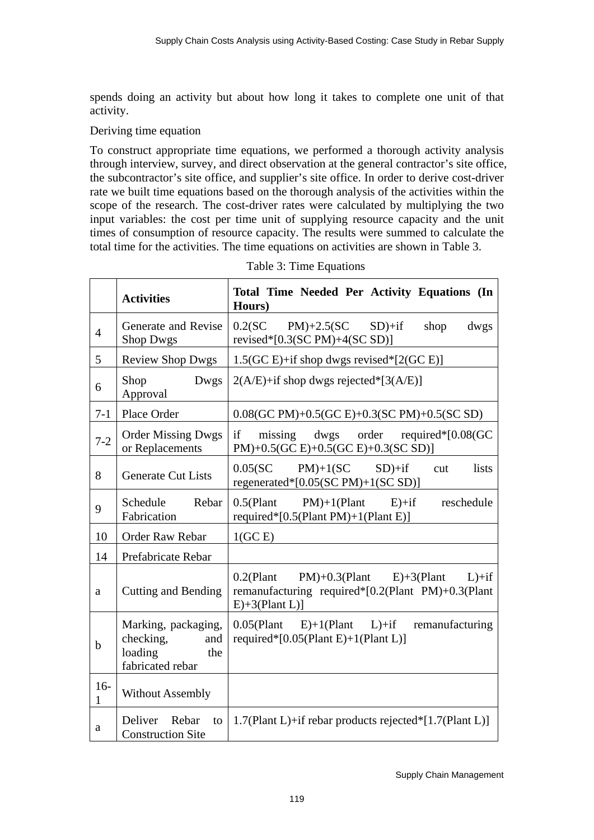spends doing an activity but about how long it takes to complete one unit of that activity.

## Deriving time equation

To construct appropriate time equations, we performed a thorough activity analysis through interview, survey, and direct observation at the general contractor's site office, the subcontractor's site office, and supplier's site office. In order to derive cost-driver rate we built time equations based on the thorough analysis of the activities within the scope of the research. The cost-driver rates were calculated by multiplying the two input variables: the cost per time unit of supplying resource capacity and the unit times of consumption of resource capacity. The results were summed to calculate the total time for the activities. The time equations on activities are shown in Table 3.

|                | <b>Activities</b>                                                             | Total Time Needed Per Activity Equations (In<br>Hours)                                                                      |
|----------------|-------------------------------------------------------------------------------|-----------------------------------------------------------------------------------------------------------------------------|
| $\overline{4}$ | Generate and Revise<br><b>Shop Dwgs</b>                                       | $0.2$ (SC PM)+2.5(SC SD)+if<br>dwgs<br>shop<br>revised* $[0.3(SCPM)+4(SCSD)]$                                               |
| 5              | <b>Review Shop Dwgs</b>                                                       | $1.5(GC E) + if$ shop dwgs revised*[2(GC E)]                                                                                |
| 6              | Shop<br>Dwgs<br>Approval                                                      | $2(A/E)$ +if shop dwgs rejected*[3(A/E)]                                                                                    |
| $7 - 1$        | Place Order                                                                   | 0.08(GC PM)+0.5(GC E)+0.3(SC PM)+0.5(SC SD)                                                                                 |
| $7 - 2$        | <b>Order Missing Dwgs</b><br>or Replacements                                  | if<br>missing dwgs order required*[0.08(GC<br>PM)+0.5(GC E)+0.5(GC E)+0.3(SC SD)]                                           |
| 8              | <b>Generate Cut Lists</b>                                                     | $0.05$ (SC<br>$PM)+1(SC$ SD)+if<br>lists<br>cut<br>regenerated* $[0.05(SCPM)+1(SCSD)]$                                      |
| 9              | Schedule<br>Rebar<br>Fabrication                                              | reschedule<br>$0.5$ (Plant PM)+1(Plant E)+if<br>required*[0.5(Plant PM)+1(Plant E)]                                         |
| 10             | Order Raw Rebar                                                               | 1(GCE)                                                                                                                      |
| 14             | Prefabricate Rebar                                                            |                                                                                                                             |
| a              | Cutting and Bending                                                           | $PM$ )+0.3(Plant E)+3(Plant L)+if<br>$0.2$ (Plant<br>remanufacturing required*[0.2(Plant PM)+0.3(Plant<br>$E)+3(Plant L)$ ] |
| $\mathbf b$    | Marking, packaging,<br>checking,<br>and<br>loading<br>the<br>fabricated rebar | $0.05$ (Plant E)+1(Plant L)+if remanufacturing<br>required* $[0.05$ (Plant E)+1(Plant L)]                                   |
| $16-$<br>1     | <b>Without Assembly</b>                                                       |                                                                                                                             |
| $\rm{a}$       | Deliver<br>Rebar<br>to<br><b>Construction Site</b>                            | 1.7(Plant L)+if rebar products rejected*[1.7(Plant L)]                                                                      |

| Table 3: Time Equations |  |
|-------------------------|--|
|-------------------------|--|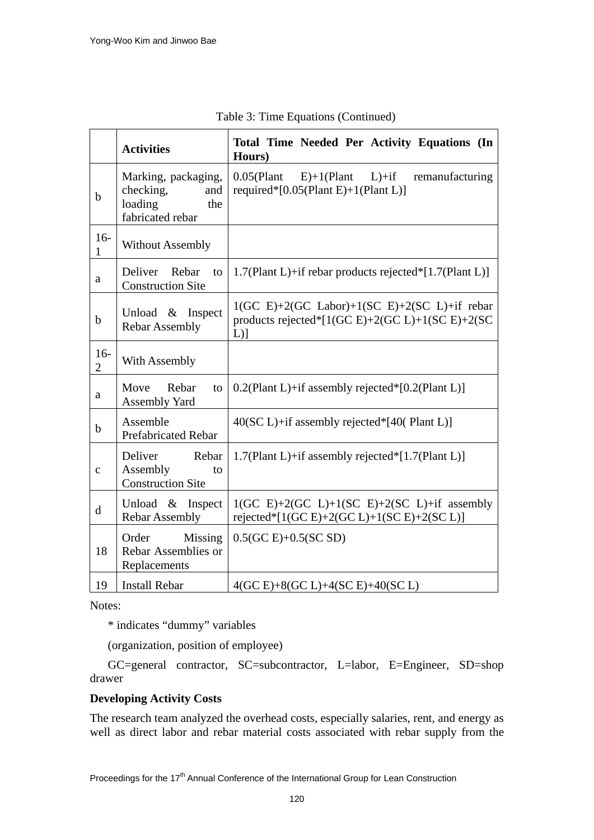|                         | <b>Activities</b>                                                             | Total Time Needed Per Activity Equations (In<br>Hours)                                                      |  |  |  |
|-------------------------|-------------------------------------------------------------------------------|-------------------------------------------------------------------------------------------------------------|--|--|--|
| $\mathbf b$             | Marking, packaging,<br>checking,<br>and<br>loading<br>the<br>fabricated rebar | $0.05$ (Plant<br>$E)+1$ (Plant<br>$L$ )+if<br>remanufacturing<br>required* $[0.05$ (Plant E)+1(Plant L)]    |  |  |  |
| $16-$<br>1              | <b>Without Assembly</b>                                                       |                                                                                                             |  |  |  |
| a                       | Deliver<br>Rebar<br>to<br><b>Construction Site</b>                            | 1.7(Plant L)+if rebar products rejected*[1.7(Plant L)]                                                      |  |  |  |
| b                       | Unload & Inspect<br><b>Rebar Assembly</b>                                     | $1(GC E)+2(GC Labor)+1(SC E)+2(SC L)+if rebar$<br>products rejected* $[1(GCE)+2(GCL)+1(SCE)+2(SC$<br>$L$ )] |  |  |  |
| $16-$<br>$\overline{2}$ | With Assembly                                                                 |                                                                                                             |  |  |  |
| a                       | Move<br>Rebar<br>to<br><b>Assembly Yard</b>                                   | $0.2$ (Plant L)+if assembly rejected*[0.2(Plant L)]                                                         |  |  |  |
| $\mathbf b$             | Assemble<br><b>Prefabricated Rebar</b>                                        | $40(SC L) + if$ assembly rejected*[40(Plant L)]                                                             |  |  |  |
| $\mathbf c$             | Deliver<br>Rebar<br>Assembly<br>to<br><b>Construction Site</b>                | 1.7(Plant L)+if assembly rejected*[1.7(Plant L)]                                                            |  |  |  |
| $\mathbf d$             | Unload & Inspect<br><b>Rebar Assembly</b>                                     | $1(GC E)+2(GC L)+1(SC E)+2(SC L)+if$ assembly<br>rejected* $[1(GCE)+2(GCL)+1(SCE)+2(SCL)]$                  |  |  |  |
| 18                      | Order<br>Missing<br>Rebar Assemblies or<br>Replacements                       | $0.5(GC E)+0.5(SC SD)$                                                                                      |  |  |  |
| 19                      | <b>Install Rebar</b>                                                          | $4(GC E)+8(GC L)+4(SC E)+40(SC L)$                                                                          |  |  |  |

Table 3: Time Equations (Continued)

Notes:

\* indicates "dummy" variables

(organization, position of employee)

GC=general contractor, SC=subcontractor, L=labor, E=Engineer, SD=shop drawer

# **Developing Activity Costs**

The research team analyzed the overhead costs, especially salaries, rent, and energy as well as direct labor and rebar material costs associated with rebar supply from the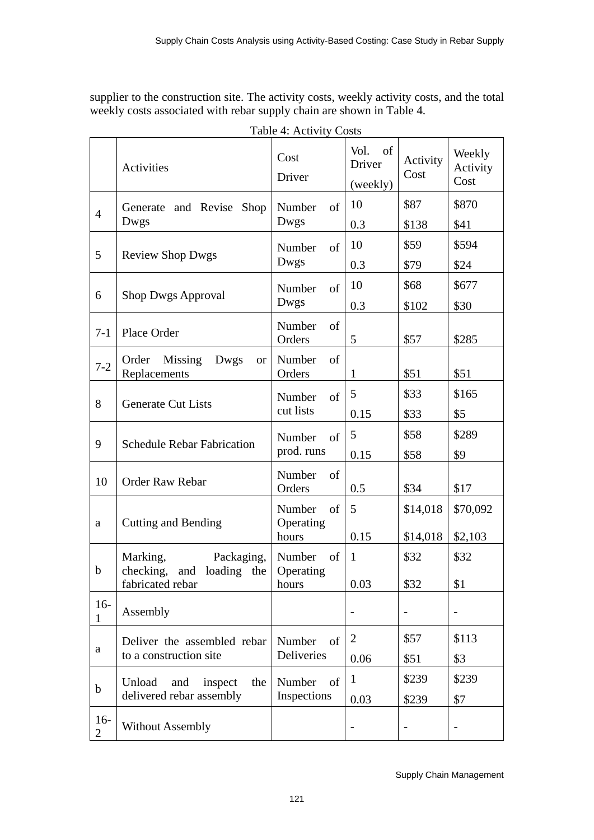supplier to the construction site. The activity costs, weekly activity costs, and the total weekly costs associated with rebar supply chain are shown in Table 4.

|                         |                                                        | THUIC T. TOUTHLY COND  |                                  |                  |                            |
|-------------------------|--------------------------------------------------------|------------------------|----------------------------------|------------------|----------------------------|
|                         | Activities                                             | Cost<br>Driver         | Vol.<br>of<br>Driver<br>(weekly) | Activity<br>Cost | Weekly<br>Activity<br>Cost |
| $\overline{4}$          | Generate and Revise<br>Shop                            | Number<br>of           | 10                               | \$87             | \$870                      |
|                         | Dwgs                                                   | Dwgs                   | 0.3                              | \$138            | \$41                       |
| 5                       | <b>Review Shop Dwgs</b>                                | Number<br>of           | 10                               | \$59             | \$594                      |
|                         |                                                        | Dwgs                   | 0.3                              | \$79             | \$24                       |
| 6                       | <b>Shop Dwgs Approval</b>                              | of<br>Number           | 10                               | \$68             | \$677                      |
|                         |                                                        | Dwgs                   | 0.3                              | \$102            | \$30                       |
| $7 - 1$                 | Place Order                                            | Number<br>of<br>Orders | 5                                | \$57             | \$285                      |
| $7 - 2$                 | Order<br>Missing<br>Dwgs<br><b>or</b><br>Replacements  | Number<br>of<br>Orders | 1                                | \$51             | \$51                       |
|                         |                                                        | Number<br>of           | 5                                | \$33             | \$165                      |
| 8                       | <b>Generate Cut Lists</b>                              | cut lists              | 0.15                             | \$33             | \$5                        |
| 9                       | <b>Schedule Rebar Fabrication</b>                      | Number<br>of           | 5                                | \$58             | \$289                      |
|                         |                                                        | prod. runs             | 0.15                             | \$58             | \$9                        |
| 10                      | Order Raw Rebar                                        | Number<br>of<br>Orders | 0.5                              | \$34             | \$17                       |
|                         |                                                        | Number<br>of           | 5                                | \$14,018         | \$70,092                   |
| a                       | <b>Cutting and Bending</b>                             | Operating              |                                  |                  |                            |
|                         |                                                        | hours                  | 0.15                             | \$14,018         | \$2,103                    |
| $\mathbf b$             | Packaging,<br>Marking,<br>checking,<br>and loading the | Number of<br>Operating | $\mathbf{1}$                     | \$32             | \$32                       |
|                         | fabricated rebar                                       | hours                  | 0.03                             | \$32             | \$1                        |
| $16-$<br>1              | Assembly                                               |                        |                                  |                  | $\overline{\phantom{a}}$   |
|                         | Deliver the assembled rebar                            | Number<br>of           | $\overline{2}$                   | \$57             | \$113                      |
| a                       | to a construction site                                 | <b>Deliveries</b>      | 0.06                             | \$51             | \$3                        |
| $\mathbf b$             | Unload<br>the<br>and<br>inspect                        | Number<br>of           | $\mathbf{1}$                     | \$239            | \$239                      |
|                         | delivered rebar assembly                               | Inspections            | 0.03                             | \$239            | \$7                        |
| $16-$<br>$\overline{2}$ | <b>Without Assembly</b>                                |                        |                                  |                  | $\overline{\phantom{a}}$   |

Table 4: Activity Costs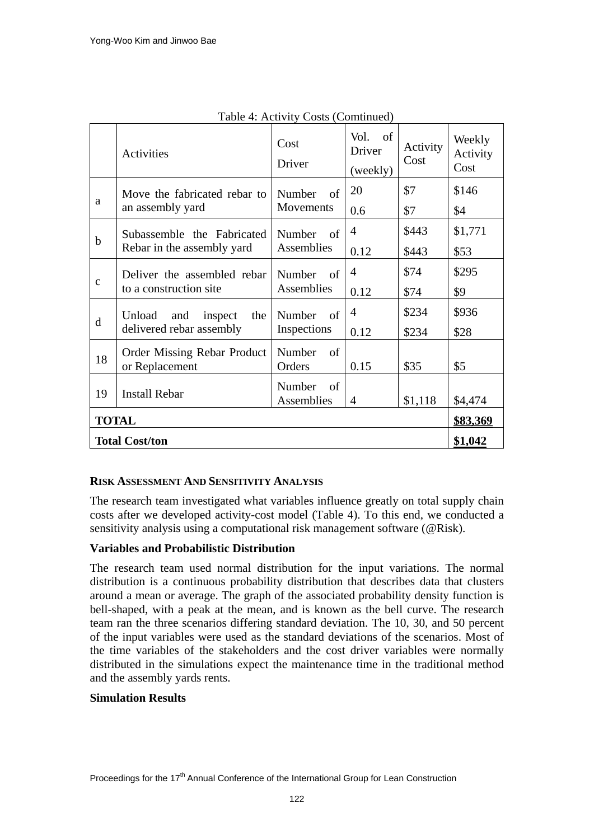|                       | Activities                                                  | Cost<br>Driver                     | Vol.<br>of<br>Driver<br>(weekly) | Activity<br>Cost | Weekly<br>Activity<br>Cost |
|-----------------------|-------------------------------------------------------------|------------------------------------|----------------------------------|------------------|----------------------------|
| a                     | Move the fabricated rebar to<br>an assembly yard            | Number<br>-of<br>Movements         | 20<br>0.6                        | \$7<br>\$7       | \$146<br>\$4               |
| $\mathbf b$           | Subassemble the Fabricated<br>Rebar in the assembly yard    | Number<br>of<br>Assemblies         | $\overline{4}$<br>0.12           | \$443<br>\$443   | \$1,771<br>\$53            |
| $\mathbf{C}$          | Deliver the assembled rebar<br>to a construction site       | Number<br>$\alpha$ f<br>Assemblies | $\overline{4}$<br>0.12           | \$74<br>\$74     | \$295<br>\$9               |
| d                     | Unload<br>and<br>inspect<br>the<br>delivered rebar assembly | Number<br>of<br>Inspections        | $\overline{4}$<br>0.12           | \$234<br>\$234   | \$936<br>\$28              |
| 18                    | Order Missing Rebar Product<br>or Replacement               | Number<br>of<br>Orders             | 0.15                             | \$35             | \$5                        |
| 19                    | <b>Install Rebar</b>                                        | Number<br>- of<br>Assemblies       | 4                                | \$1,118          | \$4,474                    |
| <b>TOTAL</b>          |                                                             |                                    |                                  |                  | <u>\$83,369</u>            |
| <b>Total Cost/ton</b> |                                                             |                                    |                                  |                  | <u>\$1,042</u>             |

Table 4: Activity Costs (Comtinued)

# **RISK ASSESSMENT AND SENSITIVITY ANALYSIS**

The research team investigated what variables influence greatly on total supply chain costs after we developed activity-cost model (Table 4). To this end, we conducted a sensitivity analysis using a computational risk management software (@Risk).

# **Variables and Probabilistic Distribution**

The research team used normal distribution for the input variations. The normal distribution is a continuous [probability distribution](http://en.wikipedia.org/wiki/Probability_distribution) that describes data that clusters around a [mean](http://en.wikipedia.org/wiki/Expected_value) or average. The graph of the associated [probability density function](http://en.wikipedia.org/wiki/Probability_density_function) is bell-shaped, with a peak at the mean, and is known as the bell curve. The research team ran the three scenarios differing standard deviation. The 10, 30, and 50 percent of the input variables were used as the standard deviations of the scenarios. Most of the time variables of the stakeholders and the cost driver variables were normally distributed in the simulations expect the maintenance time in the traditional method and the assembly yards rents.

## **Simulation Results**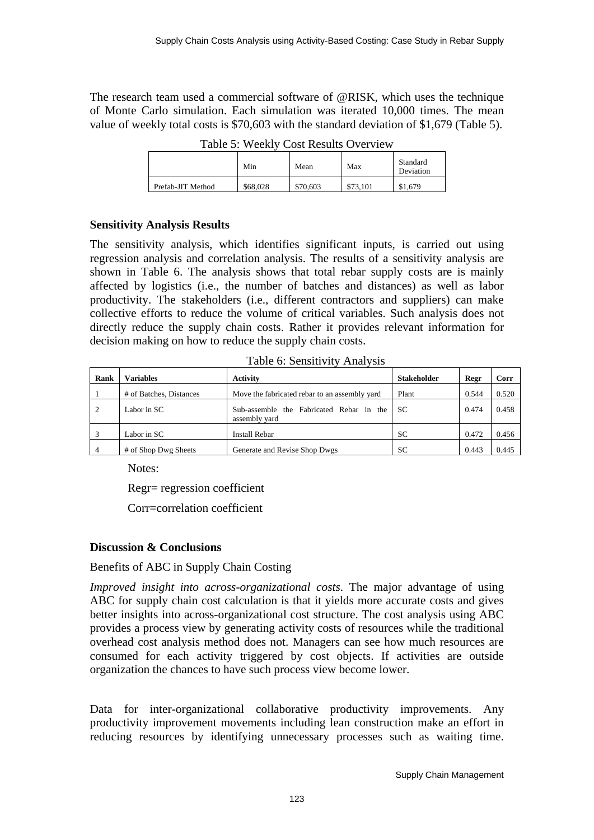The research team used a commercial software of @RISK, which uses the technique of Monte Carlo simulation. Each simulation was iterated 10,000 times. The mean value of weekly total costs is \$70,603 with the standard deviation of \$1,679 (Table 5).

| 1 00 10 10 1 1 1 1 00 1 1 1 |          |          |          |                       |  |
|-----------------------------|----------|----------|----------|-----------------------|--|
|                             | Min      | Mean     | Max      | Standard<br>Deviation |  |
| Prefab-JIT Method           | \$68,028 | \$70,603 | \$73.101 | \$1,679               |  |

Table 5: Weekly Cost Results Overview

## **Sensitivity Analysis Results**

The sensitivity analysis, which identifies significant inputs, is carried out using regression analysis and correlation analysis. The results of a sensitivity analysis are shown in Table 6. The analysis shows that total rebar supply costs are is mainly affected by logistics (i.e., the number of batches and distances) as well as labor productivity. The stakeholders (i.e., different contractors and suppliers) can make collective efforts to reduce the volume of critical variables. Such analysis does not directly reduce the supply chain costs. Rather it provides relevant information for decision making on how to reduce the supply chain costs.

Table 6: Sensitivity Analysis

| Rank | <b>Variables</b>        | <b>Activity</b>                                           | <b>Stakeholder</b> | Regr  | Corr  |
|------|-------------------------|-----------------------------------------------------------|--------------------|-------|-------|
|      | # of Batches, Distances | Move the fabricated rebar to an assembly yard             | Plant              | 0.544 | 0.520 |
|      | Labor in SC             | Sub-assemble the Fabricated Rebar in the<br>assembly yard | <b>SC</b>          | 0.474 | 0.458 |
|      | Labor in SC             | <b>Install Rebar</b>                                      | <b>SC</b>          | 0.472 | 0.456 |
|      | # of Shop Dwg Sheets    | Generate and Revise Shop Dwgs                             | SC                 | 0.443 | 0.445 |

Notes:

Regr= regression coefficient

Corr=correlation coefficient

# **Discussion & Conclusions**

# Benefits of ABC in Supply Chain Costing

*Improved insight into across-organizational costs*. The major advantage of using ABC for supply chain cost calculation is that it yields more accurate costs and gives better insights into across-organizational cost structure. The cost analysis using ABC provides a process view by generating activity costs of resources while the traditional overhead cost analysis method does not. Managers can see how much resources are consumed for each activity triggered by cost objects. If activities are outside organization the chances to have such process view become lower.

Data for inter-organizational collaborative productivity improvements. Any productivity improvement movements including lean construction make an effort in reducing resources by identifying unnecessary processes such as waiting time.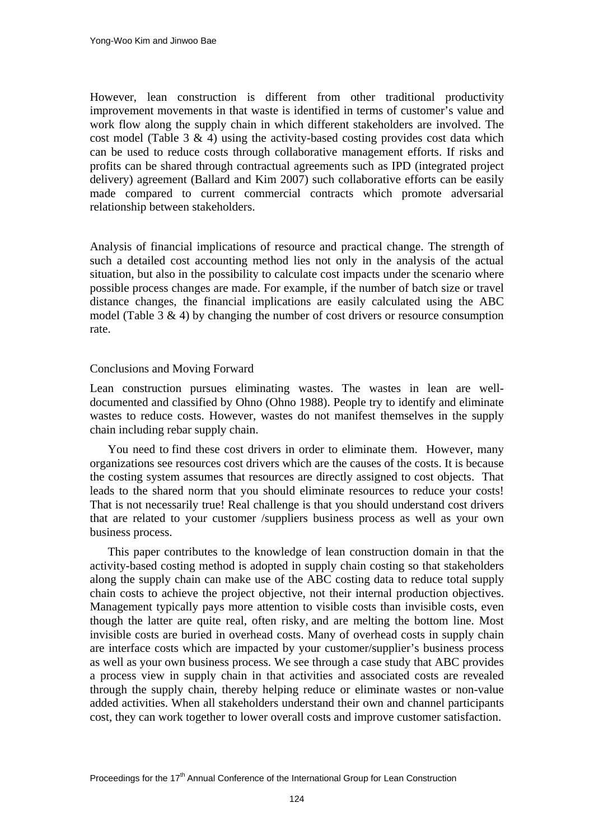However, lean construction is different from other traditional productivity improvement movements in that waste is identified in terms of customer's value and work flow along the supply chain in which different stakeholders are involved. The cost model (Table 3  $\&$  4) using the activity-based costing provides cost data which can be used to reduce costs through collaborative management efforts. If risks and profits can be shared through contractual agreements such as IPD (integrated project delivery) agreement (Ballard and Kim 2007) such collaborative efforts can be easily made compared to current commercial contracts which promote adversarial relationship between stakeholders.

Analysis of financial implications of resource and practical change. The strength of such a detailed cost accounting method lies not only in the analysis of the actual situation, but also in the possibility to calculate cost impacts under the scenario where possible process changes are made. For example, if the number of batch size or travel distance changes, the financial implications are easily calculated using the ABC model (Table  $3 \& 4$ ) by changing the number of cost drivers or resource consumption rate.

## Conclusions and Moving Forward

Lean construction pursues eliminating wastes. The wastes in lean are welldocumented and classified by Ohno (Ohno 1988). People try to identify and eliminate wastes to reduce costs. However, wastes do not manifest themselves in the supply chain including rebar supply chain.

You need to find these cost drivers in order to eliminate them. However, many organizations see resources cost drivers which are the causes of the costs. It is because the costing system assumes that resources are directly assigned to cost objects. That leads to the shared norm that you should eliminate resources to reduce your costs! That is not necessarily true! Real challenge is that you should understand cost drivers that are related to your customer /suppliers business process as well as your own business process.

This paper contributes to the knowledge of lean construction domain in that the activity-based costing method is adopted in supply chain costing so that stakeholders along the supply chain can make use of the ABC costing data to reduce total supply chain costs to achieve the project objective, not their internal production objectives. Management typically pays more attention to visible costs than invisible costs, even though the latter are quite real, often risky, and are melting the bottom line. Most invisible costs are buried in overhead costs. Many of overhead costs in supply chain are interface costs which are impacted by your customer/supplier's business process as well as your own business process. We see through a case study that ABC provides a process view in supply chain in that activities and associated costs are revealed through the supply chain, thereby helping reduce or eliminate wastes or non-value added activities. When all stakeholders understand their own and channel participants cost, they can work together to lower overall costs and improve customer satisfaction.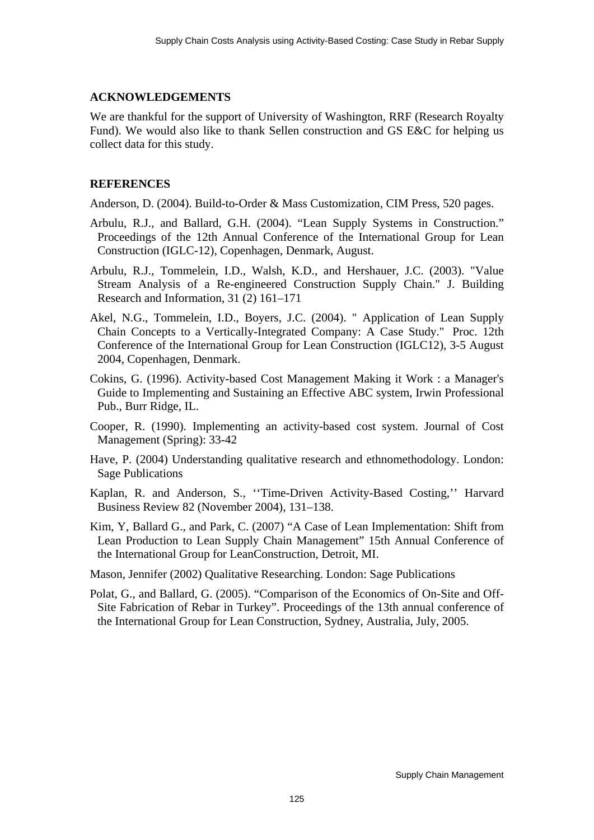#### **ACKNOWLEDGEMENTS**

We are thankful for the support of University of Washington, RRF (Research Royalty Fund). We would also like to thank Sellen construction and GS E&C for helping us collect data for this study.

## **REFERENCES**

Anderson, D. (2004). Build-to-Order & Mass Customization, CIM Press, 520 pages.

- Arbulu, R.J., and Ballard, G.H. (2004). "Lean Supply Systems in Construction." Proceedings of the 12th Annual Conference of the International Group for Lean Construction (IGLC-12), Copenhagen, Denmark, August.
- Arbulu, R.J., Tommelein, I.D., Walsh, K.D., and Hershauer, J.C. (2003). "Value Stream Analysis of a Re-engineered Construction Supply Chain." [J. Building](http://www.tandf.co.uk/journals/titles/09613218.asp)  [Research and Information](http://www.tandf.co.uk/journals/titles/09613218.asp), 31 (2) 161–171
- Akel, N.G., Tommelein, I.D., Boyers, J.C. (2004). " [Application of Lean Supply](http://www.ce.berkeley.edu/%7Etommelein/papers/IGLC04%20AkelEtAl/52-akel-tommelein-boyers-pap.doc)  [Chain Concepts to a Vertically-Integrated Company: A Case Study."](http://www.ce.berkeley.edu/%7Etommelein/papers/IGLC04%20AkelEtAl/52-akel-tommelein-boyers-pap.doc) [Proc. 12th](http://www.iglc2004.dk/)  [Conference of the International Group for Lean Construction](http://www.iglc2004.dk/) (IGLC12), 3-5 August 2004, Copenhagen, Denmark.
- Cokins, G. (1996). Activity-based Cost Management Making it Work : a Manager's Guide to Implementing and Sustaining an Effective ABC system, Irwin Professional Pub., Burr Ridge, IL.
- Cooper, R. (1990). Implementing an activity-based cost system. Journal of Cost Management (Spring): 33-42
- Have, P. (2004) Understanding qualitative research and ethnomethodology. London: Sage Publications
- Kaplan, R. and Anderson, S., ''Time-Driven Activity-Based Costing,'' Harvard Business Review 82 (November 2004), 131–138.
- Kim, Y, Ballard G., and Park, C. (2007) "A Case of Lean Implementation: Shift from Lean Production to Lean Supply Chain Management" 15th Annual Conference of the International Group for LeanConstruction, Detroit, MI.

Mason, Jennifer (2002) Qualitative Researching. London: Sage Publications

Polat, G., and Ballard, G. (2005). "Comparison of the Economics of On-Site and Off-Site Fabrication of Rebar in Turkey". Proceedings of the 13th annual conference of the International Group for Lean Construction, Sydney, Australia, July, 2005.